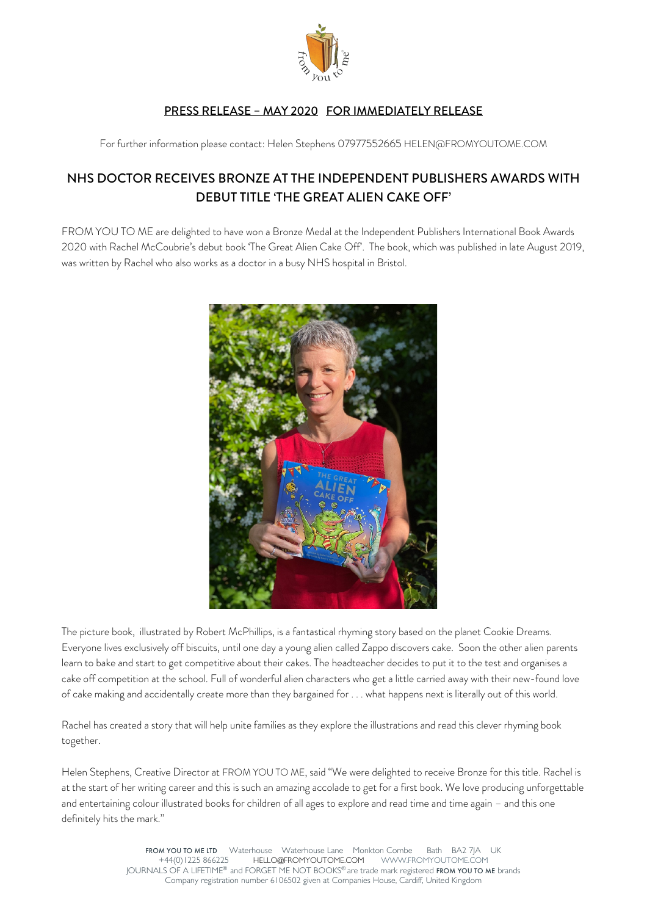

## PRESS RELEASE – MAY 2020 FOR IMMEDIATELY RELEASE

For further information please contact: Helen Stephens 07977552665 HELEN@FROMYOUTOME.COM

# NHS DOCTOR RECEIVES BRONZE AT THE INDEPENDENT PUBLISHERS AWARDS WITH DEBUT TITLE 'THE GREAT ALIEN CAKE OFF'

FROM YOU TO ME are delighted to have won a Bronze Medal at the Independent Publishers International Book Awards 2020 with Rachel McCoubrie's debut book 'The Great Alien Cake Off'. The book, which was published in late August 2019, was written by Rachel who also works as a doctor in a busy NHS hospital in Bristol.



The picture book, illustrated by Robert McPhillips, is a fantastical rhyming story based on the planet Cookie Dreams. Everyone lives exclusively off biscuits, until one day a young alien called Zappo discovers cake. Soon the other alien parents learn to bake and start to get competitive about their cakes. The headteacher decides to put it to the test and organises a cake off competition at the school. Full of wonderful alien characters who get a little carried away with their new-found love of cake making and accidentally create more than they bargained for . . . what happens next is literally out of this world.

Rachel has created a story that will help unite families as they explore the illustrations and read this clever rhyming book together.

Helen Stephens, Creative Director at FROM YOU TO ME, said "We were delighted to receive Bronze for this title. Rachel is at the start of her writing career and this is such an amazing accolade to get for a first book. We love producing unforgettable and entertaining colour illustrated books for children of all ages to explore and read time and time again – and this one definitely hits the mark."